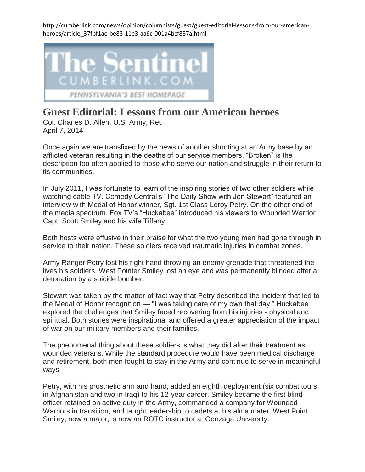http://cumberlink.com/news/opinion/columnists/guest/guest-editorial-lessons-from-our-americanheroes/article\_37fbf1ae-be83-11e3-aa6c-001a4bcf887a.html



## **Guest Editorial: Lessons from our American heroes**

Col. Charles D. Allen, U.S. Army, Ret. April 7, 2014

Once again we are transfixed by the news of another shooting at an Army base by an afflicted veteran resulting in the deaths of our service members. "Broken" is the description too often applied to those who serve our nation and struggle in their return to its communities.

In July 2011, I was fortunate to learn of the inspiring stories of two other soldiers while watching cable TV. Comedy Central's "The Daily Show with Jon Stewart" featured an interview with Medal of Honor winner, Sgt. 1st Class Leroy Petry. On the other end of the media spectrum, Fox TV's "Huckabee" introduced his viewers to Wounded Warrior Capt. Scott Smiley and his wife Tiffany.

Both hosts were effusive in their praise for what the two young men had gone through in service to their nation. These soldiers received traumatic injuries in combat zones.

Army Ranger Petry lost his right hand throwing an enemy grenade that threatened the lives his soldiers. West Pointer Smiley lost an eye and was permanently blinded after a detonation by a suicide bomber.

Stewart was taken by the matter-of-fact way that Petry described the incident that led to the Medal of Honor recognition — "I was taking care of my own that day." Huckabee explored the challenges that Smiley faced recovering from his injuries - physical and spiritual. Both stories were inspirational and offered a greater appreciation of the impact of war on our military members and their families.

The phenomenal thing about these soldiers is what they did after their treatment as wounded veterans. While the standard procedure would have been medical discharge and retirement, both men fought to stay in the Army and continue to serve in meaningful ways.

Petry, with his prosthetic arm and hand, added an eighth deployment (six combat tours in Afghanistan and two in Iraq) to his 12-year career. Smiley became the first blind officer retained on active duty in the Army, commanded a company for Wounded Warriors in transition, and taught leadership to cadets at his alma mater, West Point. Smiley, now a major, is now an ROTC instructor at Gonzaga University.